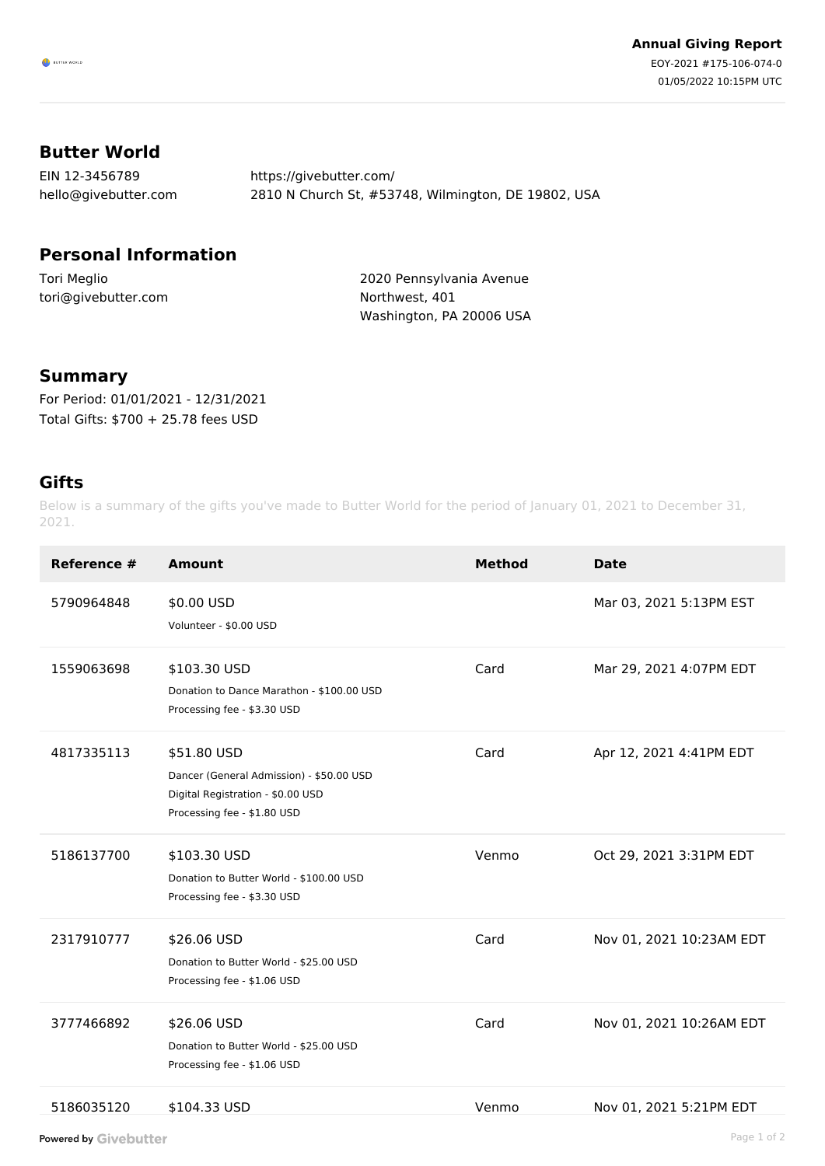## **Butter World**

| EIN 12-3456789       | https://givebutter.com/                             |
|----------------------|-----------------------------------------------------|
| hello@givebutter.com | 2810 N Church St, #53748, Wilmington, DE 19802, USA |

## **Personal Information**

Tori Meglio tori@givebutter.com 2020 Pennsylvania Avenue Northwest, 401 Washington, PA 20006 USA

## **Summary**

For Period: 01/01/2021 - 12/31/2021 Total Gifts: \$700 + 25.78 fees USD

## **Gifts**

Below is a summary of the gifts you've made to Butter World for the period of January 01, 2021 to December 31, 2021.

| Reference # | <b>Amount</b>                                                                                                               | <b>Method</b> | <b>Date</b>              |
|-------------|-----------------------------------------------------------------------------------------------------------------------------|---------------|--------------------------|
| 5790964848  | \$0.00 USD<br>Volunteer - \$0.00 USD                                                                                        |               | Mar 03, 2021 5:13PM EST  |
| 1559063698  | \$103.30 USD<br>Donation to Dance Marathon - \$100.00 USD<br>Processing fee - \$3.30 USD                                    | Card          | Mar 29, 2021 4:07PM EDT  |
| 4817335113  | \$51.80 USD<br>Dancer (General Admission) - \$50.00 USD<br>Digital Registration - \$0.00 USD<br>Processing fee - \$1.80 USD | Card          | Apr 12, 2021 4:41PM EDT  |
| 5186137700  | \$103.30 USD<br>Donation to Butter World - \$100.00 USD<br>Processing fee - \$3.30 USD                                      | Venmo         | Oct 29, 2021 3:31PM EDT  |
| 2317910777  | \$26.06 USD<br>Donation to Butter World - \$25.00 USD<br>Processing fee - \$1.06 USD                                        | Card          | Nov 01, 2021 10:23AM EDT |
| 3777466892  | \$26.06 USD<br>Donation to Butter World - \$25.00 USD<br>Processing fee - \$1.06 USD                                        | Card          | Nov 01, 2021 10:26AM EDT |
| 5186035120  | \$104.33 USD                                                                                                                | Venmo         | Nov 01, 2021 5:21PM EDT  |